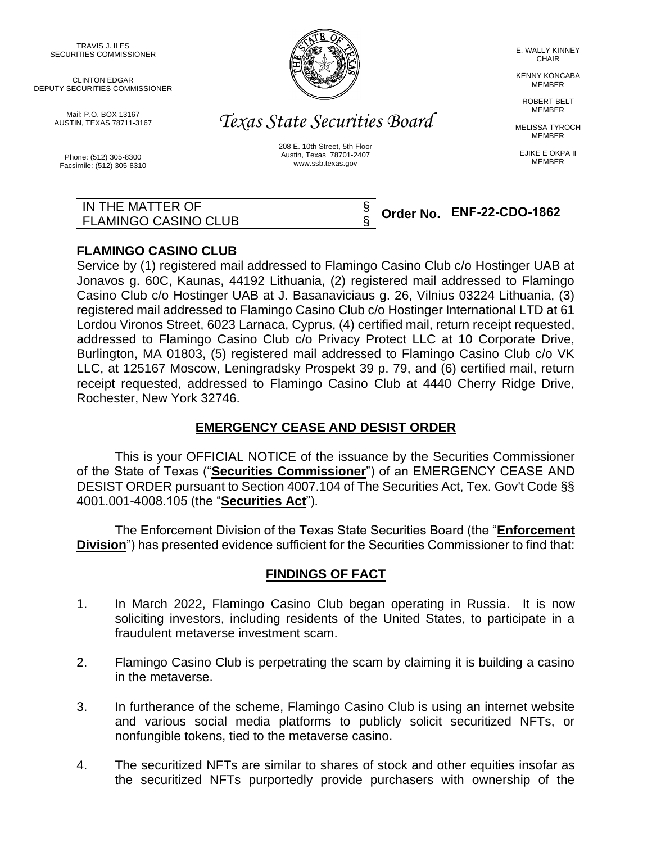TRAVIS J. ILES SECURITIES COMMISSIONER

CLINTON EDGAR DEPUTY SECURITIES COMMISSIONER

> Mail: P.O. BOX 13167 AUSTIN, TEXAS 78711-3167

Phone: (512) 305-8300 Facsimile: (512) 305-8310



*Texas State Securities Board*

208 E. 10th Street, 5th Floor Austin, Texas 78701-2407 www.ssb.texas.gov

> § §

E. WALLY KINNEY CHAIR

KENNY KONCABA MEMBER

ROBERT BELT **MEMBER** 

MELISSA TYROCH MEMBER

EJIKE E OKPA II MEMBER

IN THE MATTER OF FLAMINGO CASINO CLUB

# **Order No. ENF-22-CDO-1862**

## **FLAMINGO CASINO CLUB**

Service by (1) registered mail addressed to Flamingo Casino Club c/o Hostinger UAB at Jonavos g. 60C, Kaunas, 44192 Lithuania, (2) registered mail addressed to Flamingo Casino Club c/o Hostinger UAB at J. Basanaviciaus g. 26, Vilnius 03224 Lithuania, (3) registered mail addressed to Flamingo Casino Club c/o Hostinger International LTD at 61 Lordou Vironos Street, 6023 Larnaca, Cyprus, (4) certified mail, return receipt requested, addressed to Flamingo Casino Club c/o Privacy Protect LLC at 10 Corporate Drive, Burlington, MA 01803, (5) registered mail addressed to Flamingo Casino Club c/o VK LLC, at 125167 Moscow, Leningradsky Prospekt 39 p. 79, and (6) certified mail, return receipt requested, addressed to Flamingo Casino Club at 4440 Cherry Ridge Drive, Rochester, New York 32746.

## **EMERGENCY CEASE AND DESIST ORDER**

This is your OFFICIAL NOTICE of the issuance by the Securities Commissioner of the State of Texas ("**Securities Commissioner**") of an EMERGENCY CEASE AND DESIST ORDER pursuant to Section 4007.104 of The Securities Act, Tex. Gov't Code §§ 4001.001-4008.105 (the "**Securities Act**").

The Enforcement Division of the Texas State Securities Board (the "**Enforcement Division**") has presented evidence sufficient for the Securities Commissioner to find that:

## **FINDINGS OF FACT**

- 1. In March 2022, Flamingo Casino Club began operating in Russia. It is now soliciting investors, including residents of the United States, to participate in a fraudulent metaverse investment scam.
- 2. Flamingo Casino Club is perpetrating the scam by claiming it is building a casino in the metaverse.
- 3. In furtherance of the scheme, Flamingo Casino Club is using an internet website and various social media platforms to publicly solicit securitized NFTs, or nonfungible tokens, tied to the metaverse casino.
- 4. The securitized NFTs are similar to shares of stock and other equities insofar as the securitized NFTs purportedly provide purchasers with ownership of the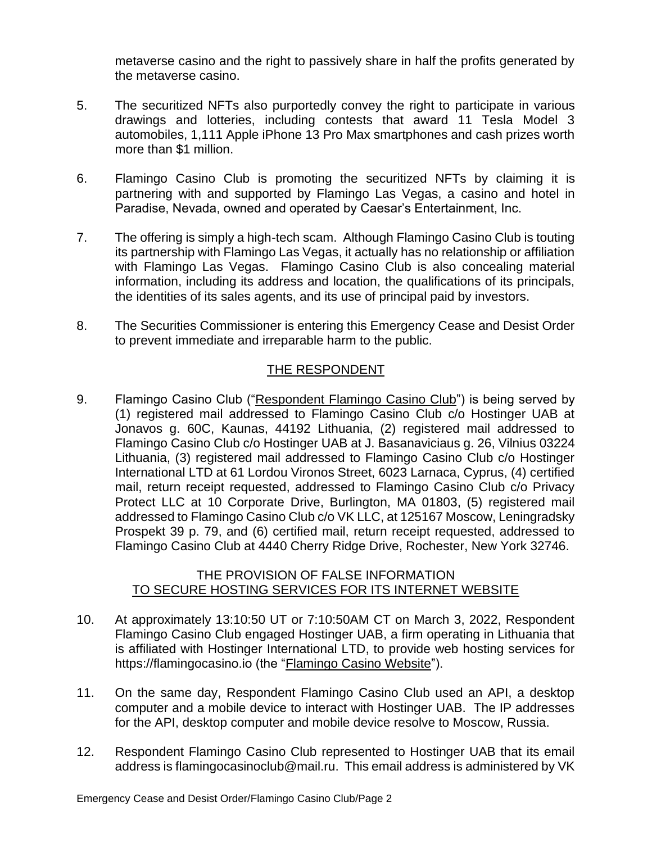metaverse casino and the right to passively share in half the profits generated by the metaverse casino.

- 5. The securitized NFTs also purportedly convey the right to participate in various drawings and lotteries, including contests that award 11 Tesla Model 3 automobiles, 1,111 Apple iPhone 13 Pro Max smartphones and cash prizes worth more than \$1 million.
- 6. Flamingo Casino Club is promoting the securitized NFTs by claiming it is partnering with and supported by Flamingo Las Vegas, a casino and hotel in Paradise, Nevada, owned and operated by Caesar's Entertainment, Inc.
- 7. The offering is simply a high-tech scam. Although Flamingo Casino Club is touting its partnership with Flamingo Las Vegas, it actually has no relationship or affiliation with Flamingo Las Vegas. Flamingo Casino Club is also concealing material information, including its address and location, the qualifications of its principals, the identities of its sales agents, and its use of principal paid by investors.
- 8. The Securities Commissioner is entering this Emergency Cease and Desist Order to prevent immediate and irreparable harm to the public.

## THE RESPONDENT

9. Flamingo Casino Club ("Respondent Flamingo Casino Club") is being served by (1) registered mail addressed to Flamingo Casino Club c/o Hostinger UAB at Jonavos g. 60C, Kaunas, 44192 Lithuania, (2) registered mail addressed to Flamingo Casino Club c/o Hostinger UAB at J. Basanaviciaus g. 26, Vilnius 03224 Lithuania, (3) registered mail addressed to Flamingo Casino Club c/o Hostinger International LTD at 61 Lordou Vironos Street, 6023 Larnaca, Cyprus, (4) certified mail, return receipt requested, addressed to Flamingo Casino Club c/o Privacy Protect LLC at 10 Corporate Drive, Burlington, MA 01803, (5) registered mail addressed to Flamingo Casino Club c/o VK LLC, at 125167 Moscow, Leningradsky Prospekt 39 p. 79, and (6) certified mail, return receipt requested, addressed to Flamingo Casino Club at 4440 Cherry Ridge Drive, Rochester, New York 32746.

## THE PROVISION OF FALSE INFORMATION TO SECURE HOSTING SERVICES FOR ITS INTERNET WEBSITE

- 10. At approximately 13:10:50 UT or 7:10:50AM CT on March 3, 2022, Respondent Flamingo Casino Club engaged Hostinger UAB, a firm operating in Lithuania that is affiliated with Hostinger International LTD, to provide web hosting services for https://flamingocasino.io (the "Flamingo Casino Website").
- 11. On the same day, Respondent Flamingo Casino Club used an API, a desktop computer and a mobile device to interact with Hostinger UAB. The IP addresses for the API, desktop computer and mobile device resolve to Moscow, Russia.
- 12. Respondent Flamingo Casino Club represented to Hostinger UAB that its email address is flamingocasinoclub@mail.ru. This email address is administered by VK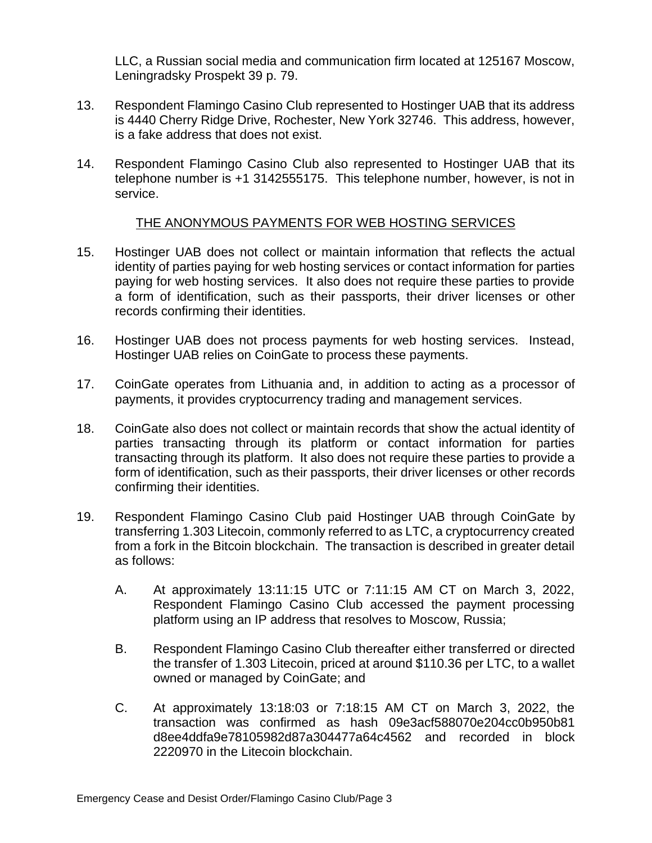LLC, a Russian social media and communication firm located at 125167 Moscow, Leningradsky Prospekt 39 p. 79.

- 13. Respondent Flamingo Casino Club represented to Hostinger UAB that its address is 4440 Cherry Ridge Drive, Rochester, New York 32746. This address, however, is a fake address that does not exist.
- 14. Respondent Flamingo Casino Club also represented to Hostinger UAB that its telephone number is +1 3142555175. This telephone number, however, is not in service.

## THE ANONYMOUS PAYMENTS FOR WEB HOSTING SERVICES

- 15. Hostinger UAB does not collect or maintain information that reflects the actual identity of parties paying for web hosting services or contact information for parties paying for web hosting services. It also does not require these parties to provide a form of identification, such as their passports, their driver licenses or other records confirming their identities.
- 16. Hostinger UAB does not process payments for web hosting services. Instead, Hostinger UAB relies on CoinGate to process these payments.
- 17. CoinGate operates from Lithuania and, in addition to acting as a processor of payments, it provides cryptocurrency trading and management services.
- 18. CoinGate also does not collect or maintain records that show the actual identity of parties transacting through its platform or contact information for parties transacting through its platform. It also does not require these parties to provide a form of identification, such as their passports, their driver licenses or other records confirming their identities.
- 19. Respondent Flamingo Casino Club paid Hostinger UAB through CoinGate by transferring 1.303 Litecoin, commonly referred to as LTC, a cryptocurrency created from a fork in the Bitcoin blockchain. The transaction is described in greater detail as follows:
	- A. At approximately 13:11:15 UTC or 7:11:15 AM CT on March 3, 2022, Respondent Flamingo Casino Club accessed the payment processing platform using an IP address that resolves to Moscow, Russia;
	- B. Respondent Flamingo Casino Club thereafter either transferred or directed the transfer of 1.303 Litecoin, priced at around \$110.36 per LTC, to a wallet owned or managed by CoinGate; and
	- C. At approximately 13:18:03 or 7:18:15 AM CT on March 3, 2022, the transaction was confirmed as hash 09e3acf588070e204cc0b950b81 d8ee4ddfa9e78105982d87a304477a64c4562 and recorded in block 2220970 in the Litecoin blockchain.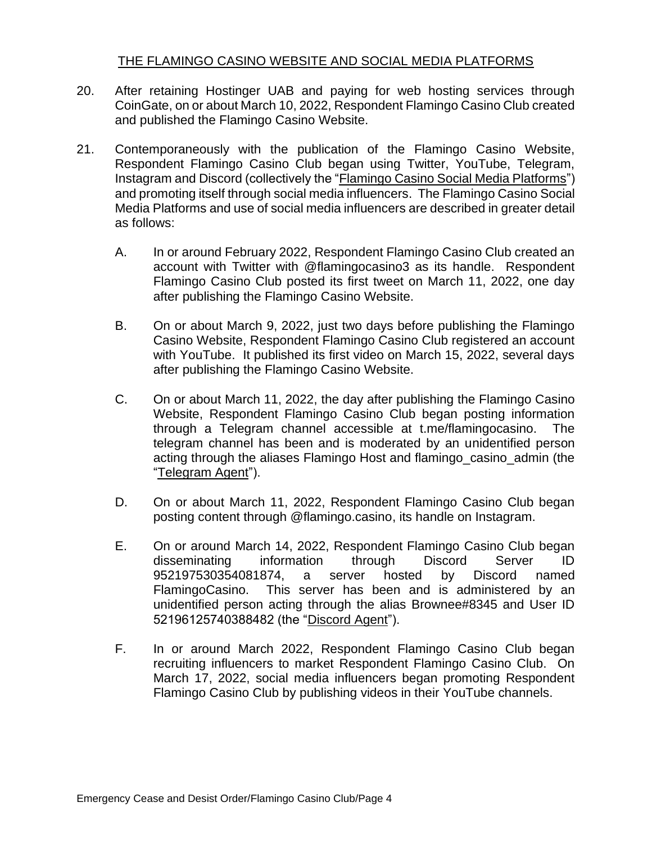## THE FLAMINGO CASINO WEBSITE AND SOCIAL MEDIA PLATFORMS

- 20. After retaining Hostinger UAB and paying for web hosting services through CoinGate, on or about March 10, 2022, Respondent Flamingo Casino Club created and published the Flamingo Casino Website.
- 21. Contemporaneously with the publication of the Flamingo Casino Website, Respondent Flamingo Casino Club began using Twitter, YouTube, Telegram, Instagram and Discord (collectively the "Flamingo Casino Social Media Platforms") and promoting itself through social media influencers. The Flamingo Casino Social Media Platforms and use of social media influencers are described in greater detail as follows:
	- A. In or around February 2022, Respondent Flamingo Casino Club created an account with Twitter with @flamingocasino3 as its handle. Respondent Flamingo Casino Club posted its first tweet on March 11, 2022, one day after publishing the Flamingo Casino Website.
	- B. On or about March 9, 2022, just two days before publishing the Flamingo Casino Website, Respondent Flamingo Casino Club registered an account with YouTube. It published its first video on March 15, 2022, several days after publishing the Flamingo Casino Website.
	- C. On or about March 11, 2022, the day after publishing the Flamingo Casino Website, Respondent Flamingo Casino Club began posting information through a Telegram channel accessible at t.me/flamingocasino. The telegram channel has been and is moderated by an unidentified person acting through the aliases Flamingo Host and flamingo\_casino\_admin (the "Telegram Agent").
	- D. On or about March 11, 2022, Respondent Flamingo Casino Club began posting content through @flamingo.casino, its handle on Instagram.
	- E. On or around March 14, 2022, Respondent Flamingo Casino Club began disseminating information through Discord Server ID 952197530354081874, a server hosted by Discord named FlamingoCasino. This server has been and is administered by an unidentified person acting through the alias Brownee#8345 and User ID 52196125740388482 (the "Discord Agent").
	- F. In or around March 2022, Respondent Flamingo Casino Club began recruiting influencers to market Respondent Flamingo Casino Club. On March 17, 2022, social media influencers began promoting Respondent Flamingo Casino Club by publishing videos in their YouTube channels.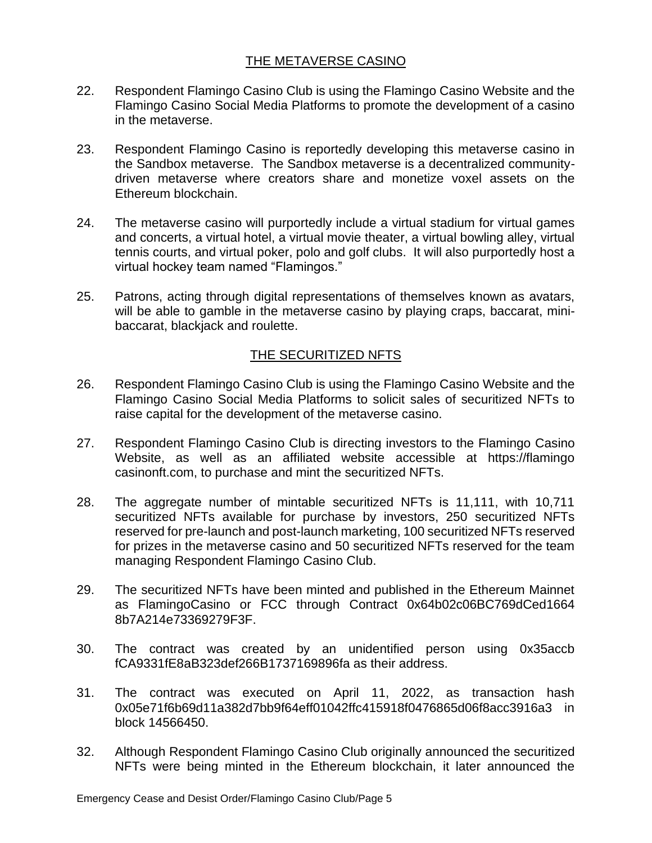## THE METAVERSE CASINO

- 22. Respondent Flamingo Casino Club is using the Flamingo Casino Website and the Flamingo Casino Social Media Platforms to promote the development of a casino in the metaverse.
- 23. Respondent Flamingo Casino is reportedly developing this metaverse casino in the Sandbox metaverse. The Sandbox metaverse is a decentralized communitydriven metaverse where creators share and monetize voxel assets on the Ethereum blockchain.
- 24. The metaverse casino will purportedly include a virtual stadium for virtual games and concerts, a virtual hotel, a virtual movie theater, a virtual bowling alley, virtual tennis courts, and virtual poker, polo and golf clubs. It will also purportedly host a virtual hockey team named "Flamingos."
- 25. Patrons, acting through digital representations of themselves known as avatars, will be able to gamble in the metaverse casino by playing craps, baccarat, minibaccarat, blackjack and roulette.

## THE SECURITIZED NFTS

- 26. Respondent Flamingo Casino Club is using the Flamingo Casino Website and the Flamingo Casino Social Media Platforms to solicit sales of securitized NFTs to raise capital for the development of the metaverse casino.
- 27. Respondent Flamingo Casino Club is directing investors to the Flamingo Casino Website, as well as an affiliated website accessible at https://flamingo casinonft.com, to purchase and mint the securitized NFTs.
- 28. The aggregate number of mintable securitized NFTs is 11,111, with 10,711 securitized NFTs available for purchase by investors, 250 securitized NFTs reserved for pre-launch and post-launch marketing, 100 securitized NFTs reserved for prizes in the metaverse casino and 50 securitized NFTs reserved for the team managing Respondent Flamingo Casino Club.
- 29. The securitized NFTs have been minted and published in the Ethereum Mainnet as FlamingoCasino or FCC through Contract 0x64b02c06BC769dCed1664 8b7A214e73369279F3F.
- 30. The contract was created by an unidentified person using 0x35accb fCA9331fE8aB323def266B1737169896fa as their address.
- 31. The contract was executed on April 11, 2022, as transaction hash 0x05e71f6b69d11a382d7bb9f64eff01042ffc415918f0476865d06f8acc3916a3 in block 14566450.
- 32. Although Respondent Flamingo Casino Club originally announced the securitized NFTs were being minted in the Ethereum blockchain, it later announced the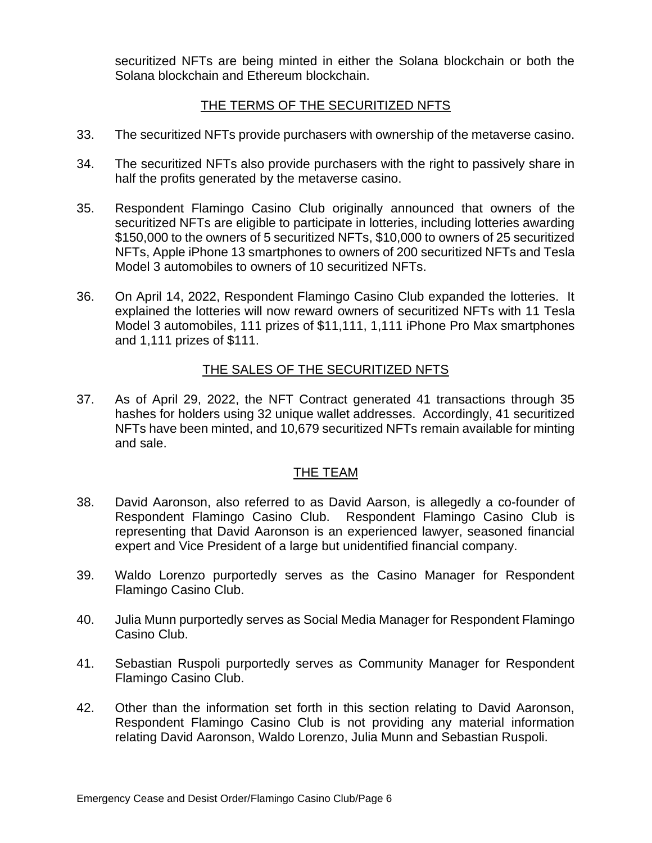securitized NFTs are being minted in either the Solana blockchain or both the Solana blockchain and Ethereum blockchain.

## THE TERMS OF THE SECURITIZED NFTS

- 33. The securitized NFTs provide purchasers with ownership of the metaverse casino.
- 34. The securitized NFTs also provide purchasers with the right to passively share in half the profits generated by the metaverse casino.
- 35. Respondent Flamingo Casino Club originally announced that owners of the securitized NFTs are eligible to participate in lotteries, including lotteries awarding \$150,000 to the owners of 5 securitized NFTs, \$10,000 to owners of 25 securitized NFTs, Apple iPhone 13 smartphones to owners of 200 securitized NFTs and Tesla Model 3 automobiles to owners of 10 securitized NFTs.
- 36. On April 14, 2022, Respondent Flamingo Casino Club expanded the lotteries. It explained the lotteries will now reward owners of securitized NFTs with 11 Tesla Model 3 automobiles, 111 prizes of \$11,111, 1,111 iPhone Pro Max smartphones and 1,111 prizes of \$111.

#### THE SALES OF THE SECURITIZED NFTS

37. As of April 29, 2022, the NFT Contract generated 41 transactions through 35 hashes for holders using 32 unique wallet addresses. Accordingly, 41 securitized NFTs have been minted, and 10,679 securitized NFTs remain available for minting and sale.

#### THE TEAM

- 38. David Aaronson, also referred to as David Aarson, is allegedly a co-founder of Respondent Flamingo Casino Club. Respondent Flamingo Casino Club is representing that David Aaronson is an experienced lawyer, seasoned financial expert and Vice President of a large but unidentified financial company.
- 39. Waldo Lorenzo purportedly serves as the Casino Manager for Respondent Flamingo Casino Club.
- 40. Julia Munn purportedly serves as Social Media Manager for Respondent Flamingo Casino Club.
- 41. Sebastian Ruspoli purportedly serves as Community Manager for Respondent Flamingo Casino Club.
- 42. Other than the information set forth in this section relating to David Aaronson, Respondent Flamingo Casino Club is not providing any material information relating David Aaronson, Waldo Lorenzo, Julia Munn and Sebastian Ruspoli.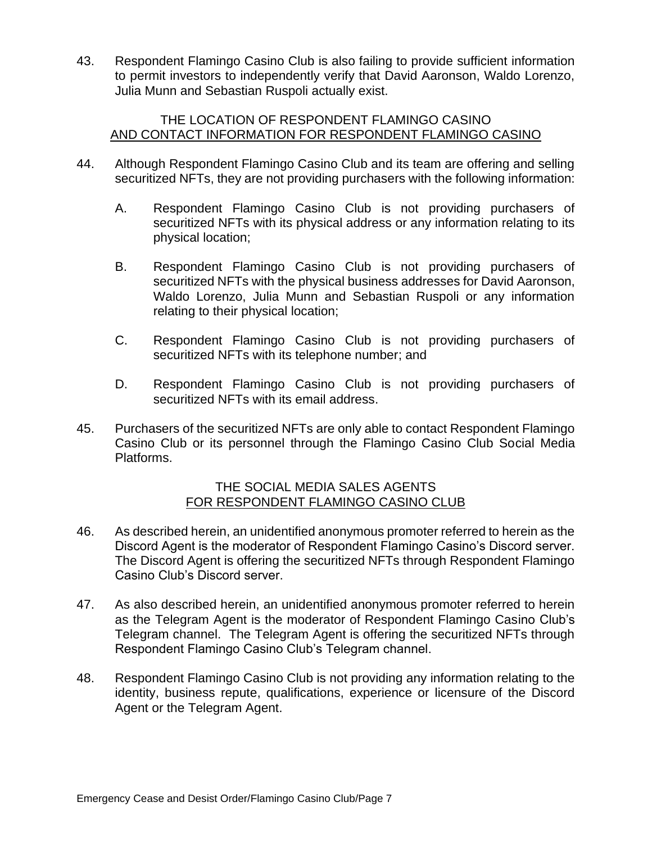43. Respondent Flamingo Casino Club is also failing to provide sufficient information to permit investors to independently verify that David Aaronson, Waldo Lorenzo, Julia Munn and Sebastian Ruspoli actually exist.

#### THE LOCATION OF RESPONDENT FLAMINGO CASINO AND CONTACT INFORMATION FOR RESPONDENT FLAMINGO CASINO

- 44. Although Respondent Flamingo Casino Club and its team are offering and selling securitized NFTs, they are not providing purchasers with the following information:
	- A. Respondent Flamingo Casino Club is not providing purchasers of securitized NFTs with its physical address or any information relating to its physical location;
	- B. Respondent Flamingo Casino Club is not providing purchasers of securitized NFTs with the physical business addresses for David Aaronson, Waldo Lorenzo, Julia Munn and Sebastian Ruspoli or any information relating to their physical location;
	- C. Respondent Flamingo Casino Club is not providing purchasers of securitized NFTs with its telephone number; and
	- D. Respondent Flamingo Casino Club is not providing purchasers of securitized NFTs with its email address.
- 45. Purchasers of the securitized NFTs are only able to contact Respondent Flamingo Casino Club or its personnel through the Flamingo Casino Club Social Media Platforms.

#### THE SOCIAL MEDIA SALES AGENTS FOR RESPONDENT FLAMINGO CASINO CLUB

- 46. As described herein, an unidentified anonymous promoter referred to herein as the Discord Agent is the moderator of Respondent Flamingo Casino's Discord server. The Discord Agent is offering the securitized NFTs through Respondent Flamingo Casino Club's Discord server.
- 47. As also described herein, an unidentified anonymous promoter referred to herein as the Telegram Agent is the moderator of Respondent Flamingo Casino Club's Telegram channel. The Telegram Agent is offering the securitized NFTs through Respondent Flamingo Casino Club's Telegram channel.
- 48. Respondent Flamingo Casino Club is not providing any information relating to the identity, business repute, qualifications, experience or licensure of the Discord Agent or the Telegram Agent.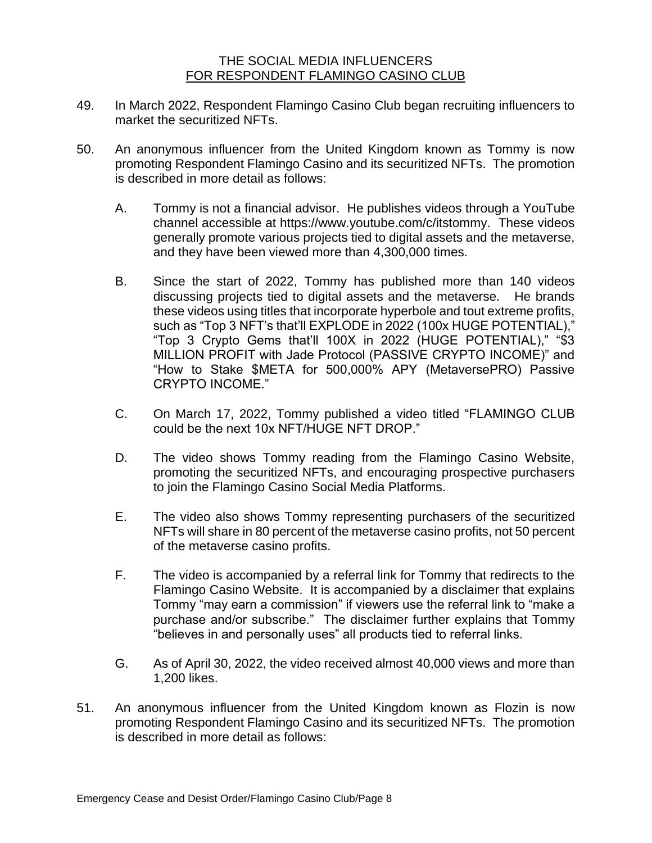#### THE SOCIAL MEDIA INFLUENCERS FOR RESPONDENT FLAMINGO CASINO CLUB

- 49. In March 2022, Respondent Flamingo Casino Club began recruiting influencers to market the securitized NFTs.
- 50. An anonymous influencer from the United Kingdom known as Tommy is now promoting Respondent Flamingo Casino and its securitized NFTs. The promotion is described in more detail as follows:
	- A. Tommy is not a financial advisor. He publishes videos through a YouTube channel accessible at https://www.youtube.com/c/itstommy. These videos generally promote various projects tied to digital assets and the metaverse, and they have been viewed more than 4,300,000 times.
	- B. Since the start of 2022, Tommy has published more than 140 videos discussing projects tied to digital assets and the metaverse. He brands these videos using titles that incorporate hyperbole and tout extreme profits, such as "Top 3 NFT's that'll EXPLODE in 2022 (100x HUGE POTENTIAL)," "Top 3 Crypto Gems that'll 100X in 2022 (HUGE POTENTIAL)," "\$3 MILLION PROFIT with Jade Protocol (PASSIVE CRYPTO INCOME)" and "How to Stake \$META for 500,000% APY (MetaversePRO) Passive CRYPTO INCOME."
	- C. On March 17, 2022, Tommy published a video titled "FLAMINGO CLUB could be the next 10x NFT/HUGE NFT DROP."
	- D. The video shows Tommy reading from the Flamingo Casino Website, promoting the securitized NFTs, and encouraging prospective purchasers to join the Flamingo Casino Social Media Platforms.
	- E. The video also shows Tommy representing purchasers of the securitized NFTs will share in 80 percent of the metaverse casino profits, not 50 percent of the metaverse casino profits.
	- F. The video is accompanied by a referral link for Tommy that redirects to the Flamingo Casino Website. It is accompanied by a disclaimer that explains Tommy "may earn a commission" if viewers use the referral link to "make a purchase and/or subscribe." The disclaimer further explains that Tommy "believes in and personally uses" all products tied to referral links.
	- G. As of April 30, 2022, the video received almost 40,000 views and more than 1,200 likes.
- 51. An anonymous influencer from the United Kingdom known as Flozin is now promoting Respondent Flamingo Casino and its securitized NFTs. The promotion is described in more detail as follows: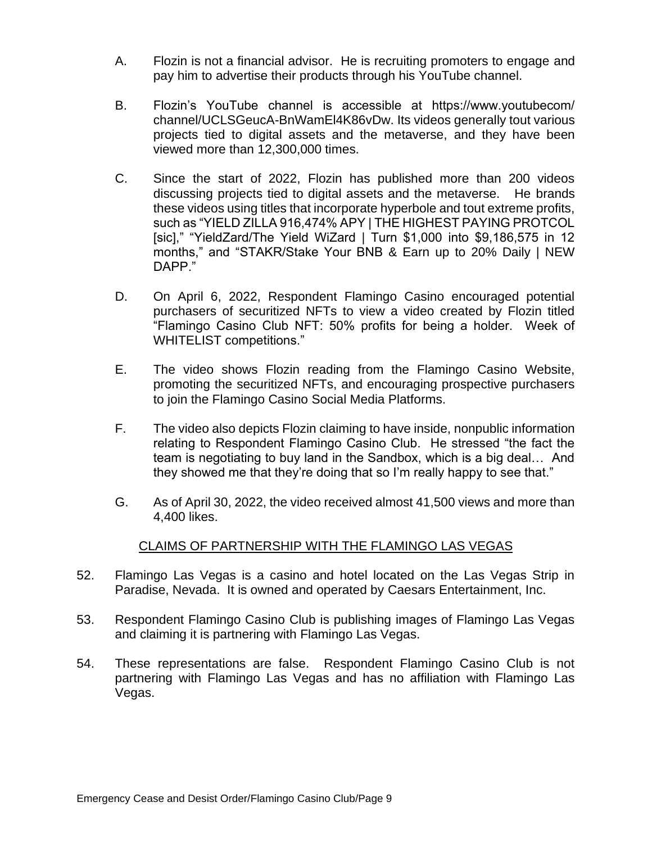- A. Flozin is not a financial advisor. He is recruiting promoters to engage and pay him to advertise their products through his YouTube channel.
- B. Flozin's YouTube channel is accessible at https://www.youtubecom/ channel/UCLSGeucA-BnWamEl4K86vDw. Its videos generally tout various projects tied to digital assets and the metaverse, and they have been viewed more than 12,300,000 times.
- C. Since the start of 2022, Flozin has published more than 200 videos discussing projects tied to digital assets and the metaverse. He brands these videos using titles that incorporate hyperbole and tout extreme profits, such as "YIELD ZILLA 916,474% APY | THE HIGHEST PAYING PROTCOL [sic]," "YieldZard/The Yield WiZard | Turn \$1,000 into \$9,186,575 in 12 months," and "STAKR/Stake Your BNB & Earn up to 20% Daily | NEW DAPP."
- D. On April 6, 2022, Respondent Flamingo Casino encouraged potential purchasers of securitized NFTs to view a video created by Flozin titled "Flamingo Casino Club NFT: 50% profits for being a holder. Week of WHITELIST competitions."
- E. The video shows Flozin reading from the Flamingo Casino Website, promoting the securitized NFTs, and encouraging prospective purchasers to join the Flamingo Casino Social Media Platforms.
- F. The video also depicts Flozin claiming to have inside, nonpublic information relating to Respondent Flamingo Casino Club. He stressed "the fact the team is negotiating to buy land in the Sandbox, which is a big deal… And they showed me that they're doing that so I'm really happy to see that."
- G. As of April 30, 2022, the video received almost 41,500 views and more than 4,400 likes.

## CLAIMS OF PARTNERSHIP WITH THE FLAMINGO LAS VEGAS

- 52. Flamingo Las Vegas is a casino and hotel located on the Las Vegas Strip in Paradise, Nevada. It is owned and operated by Caesars Entertainment, Inc.
- 53. Respondent Flamingo Casino Club is publishing images of Flamingo Las Vegas and claiming it is partnering with Flamingo Las Vegas.
- 54. These representations are false. Respondent Flamingo Casino Club is not partnering with Flamingo Las Vegas and has no affiliation with Flamingo Las Vegas.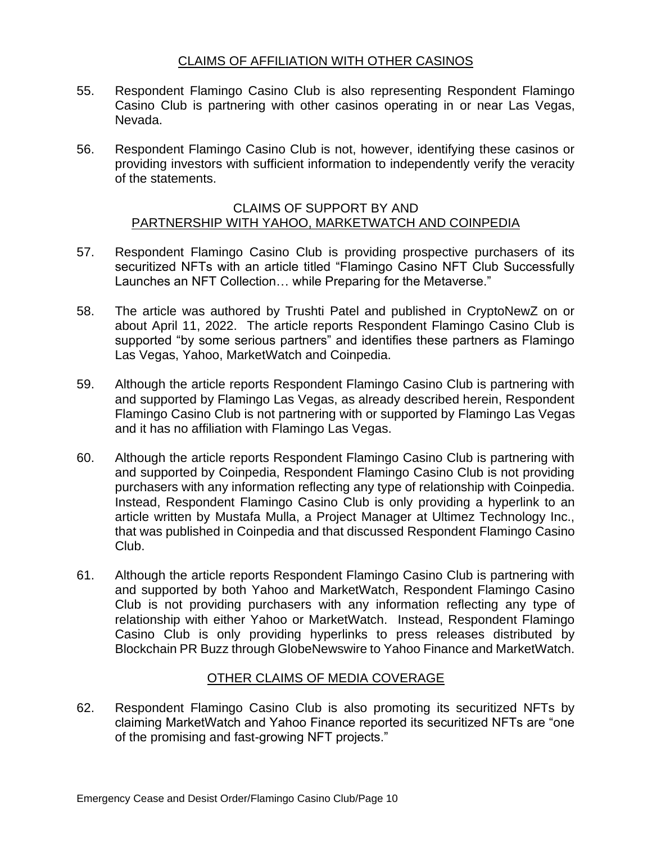## CLAIMS OF AFFILIATION WITH OTHER CASINOS

- 55. Respondent Flamingo Casino Club is also representing Respondent Flamingo Casino Club is partnering with other casinos operating in or near Las Vegas, Nevada.
- 56. Respondent Flamingo Casino Club is not, however, identifying these casinos or providing investors with sufficient information to independently verify the veracity of the statements.

#### CLAIMS OF SUPPORT BY AND PARTNERSHIP WITH YAHOO, MARKETWATCH AND COINPEDIA

- 57. Respondent Flamingo Casino Club is providing prospective purchasers of its securitized NFTs with an article titled "Flamingo Casino NFT Club Successfully Launches an NFT Collection… while Preparing for the Metaverse."
- 58. The article was authored by Trushti Patel and published in CryptoNewZ on or about April 11, 2022. The article reports Respondent Flamingo Casino Club is supported "by some serious partners" and identifies these partners as Flamingo Las Vegas, Yahoo, MarketWatch and Coinpedia.
- 59. Although the article reports Respondent Flamingo Casino Club is partnering with and supported by Flamingo Las Vegas, as already described herein, Respondent Flamingo Casino Club is not partnering with or supported by Flamingo Las Vegas and it has no affiliation with Flamingo Las Vegas.
- 60. Although the article reports Respondent Flamingo Casino Club is partnering with and supported by Coinpedia, Respondent Flamingo Casino Club is not providing purchasers with any information reflecting any type of relationship with Coinpedia. Instead, Respondent Flamingo Casino Club is only providing a hyperlink to an article written by Mustafa Mulla, a Project Manager at Ultimez Technology Inc., that was published in Coinpedia and that discussed Respondent Flamingo Casino Club.
- 61. Although the article reports Respondent Flamingo Casino Club is partnering with and supported by both Yahoo and MarketWatch, Respondent Flamingo Casino Club is not providing purchasers with any information reflecting any type of relationship with either Yahoo or MarketWatch. Instead, Respondent Flamingo Casino Club is only providing hyperlinks to press releases distributed by Blockchain PR Buzz through GlobeNewswire to Yahoo Finance and MarketWatch.

## OTHER CLAIMS OF MEDIA COVERAGE

62. Respondent Flamingo Casino Club is also promoting its securitized NFTs by claiming MarketWatch and Yahoo Finance reported its securitized NFTs are "one of the promising and fast-growing NFT projects."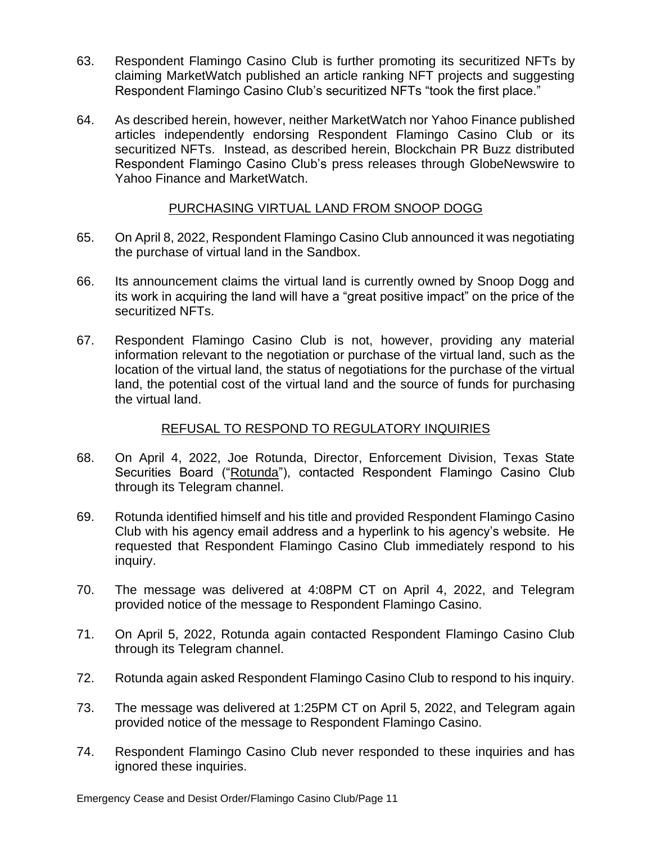- 63. Respondent Flamingo Casino Club is further promoting its securitized NFTs by claiming MarketWatch published an article ranking NFT projects and suggesting Respondent Flamingo Casino Club's securitized NFTs "took the first place."
- 64. As described herein, however, neither MarketWatch nor Yahoo Finance published articles independently endorsing Respondent Flamingo Casino Club or its securitized NFTs. Instead, as described herein, Blockchain PR Buzz distributed Respondent Flamingo Casino Club's press releases through GlobeNewswire to Yahoo Finance and MarketWatch.

#### PURCHASING VIRTUAL LAND FROM SNOOP DOGG

- 65. On April 8, 2022, Respondent Flamingo Casino Club announced it was negotiating the purchase of virtual land in the Sandbox.
- 66. Its announcement claims the virtual land is currently owned by Snoop Dogg and its work in acquiring the land will have a "great positive impact" on the price of the securitized NFTs.
- 67. Respondent Flamingo Casino Club is not, however, providing any material information relevant to the negotiation or purchase of the virtual land, such as the location of the virtual land, the status of negotiations for the purchase of the virtual land, the potential cost of the virtual land and the source of funds for purchasing the virtual land.

## REFUSAL TO RESPOND TO REGULATORY INQUIRIES

- 68. On April 4, 2022, Joe Rotunda, Director, Enforcement Division, Texas State Securities Board ("Rotunda"), contacted Respondent Flamingo Casino Club through its Telegram channel.
- 69. Rotunda identified himself and his title and provided Respondent Flamingo Casino Club with his agency email address and a hyperlink to his agency's website. He requested that Respondent Flamingo Casino Club immediately respond to his inquiry.
- 70. The message was delivered at 4:08PM CT on April 4, 2022, and Telegram provided notice of the message to Respondent Flamingo Casino.
- 71. On April 5, 2022, Rotunda again contacted Respondent Flamingo Casino Club through its Telegram channel.
- 72. Rotunda again asked Respondent Flamingo Casino Club to respond to his inquiry.
- 73. The message was delivered at 1:25PM CT on April 5, 2022, and Telegram again provided notice of the message to Respondent Flamingo Casino.
- 74. Respondent Flamingo Casino Club never responded to these inquiries and has ignored these inquiries.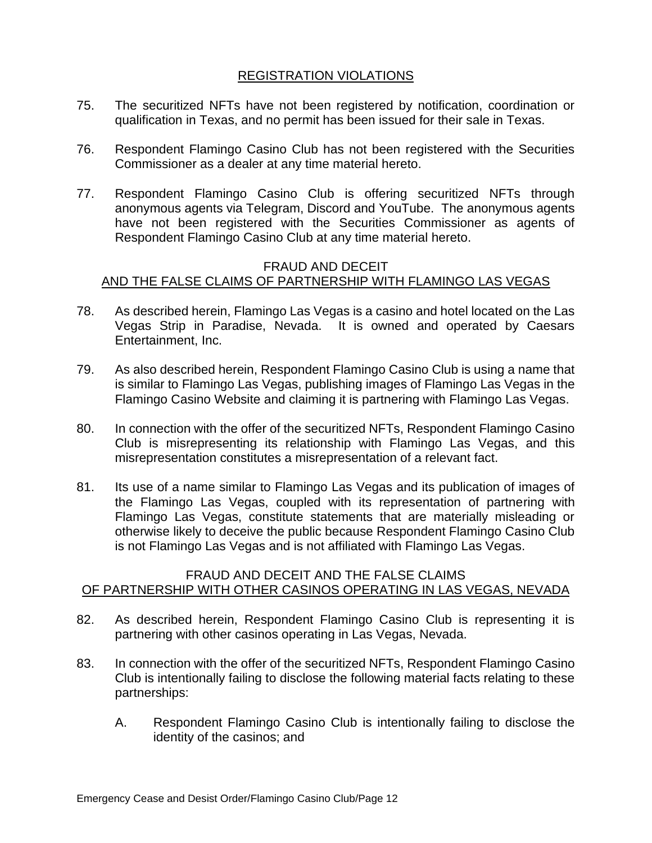## REGISTRATION VIOLATIONS

- 75. The securitized NFTs have not been registered by notification, coordination or qualification in Texas, and no permit has been issued for their sale in Texas.
- 76. Respondent Flamingo Casino Club has not been registered with the Securities Commissioner as a dealer at any time material hereto.
- 77. Respondent Flamingo Casino Club is offering securitized NFTs through anonymous agents via Telegram, Discord and YouTube. The anonymous agents have not been registered with the Securities Commissioner as agents of Respondent Flamingo Casino Club at any time material hereto.

#### FRAUD AND DECEIT AND THE FALSE CLAIMS OF PARTNERSHIP WITH FLAMINGO LAS VEGAS

- 78. As described herein, Flamingo Las Vegas is a casino and hotel located on the Las Vegas Strip in Paradise, Nevada. It is owned and operated by Caesars Entertainment, Inc.
- 79. As also described herein, Respondent Flamingo Casino Club is using a name that is similar to Flamingo Las Vegas, publishing images of Flamingo Las Vegas in the Flamingo Casino Website and claiming it is partnering with Flamingo Las Vegas.
- 80. In connection with the offer of the securitized NFTs, Respondent Flamingo Casino Club is misrepresenting its relationship with Flamingo Las Vegas, and this misrepresentation constitutes a misrepresentation of a relevant fact.
- 81. Its use of a name similar to Flamingo Las Vegas and its publication of images of the Flamingo Las Vegas, coupled with its representation of partnering with Flamingo Las Vegas, constitute statements that are materially misleading or otherwise likely to deceive the public because Respondent Flamingo Casino Club is not Flamingo Las Vegas and is not affiliated with Flamingo Las Vegas.

## FRAUD AND DECEIT AND THE FALSE CLAIMS OF PARTNERSHIP WITH OTHER CASINOS OPERATING IN LAS VEGAS, NEVADA

- 82. As described herein, Respondent Flamingo Casino Club is representing it is partnering with other casinos operating in Las Vegas, Nevada.
- 83. In connection with the offer of the securitized NFTs, Respondent Flamingo Casino Club is intentionally failing to disclose the following material facts relating to these partnerships:
	- A. Respondent Flamingo Casino Club is intentionally failing to disclose the identity of the casinos; and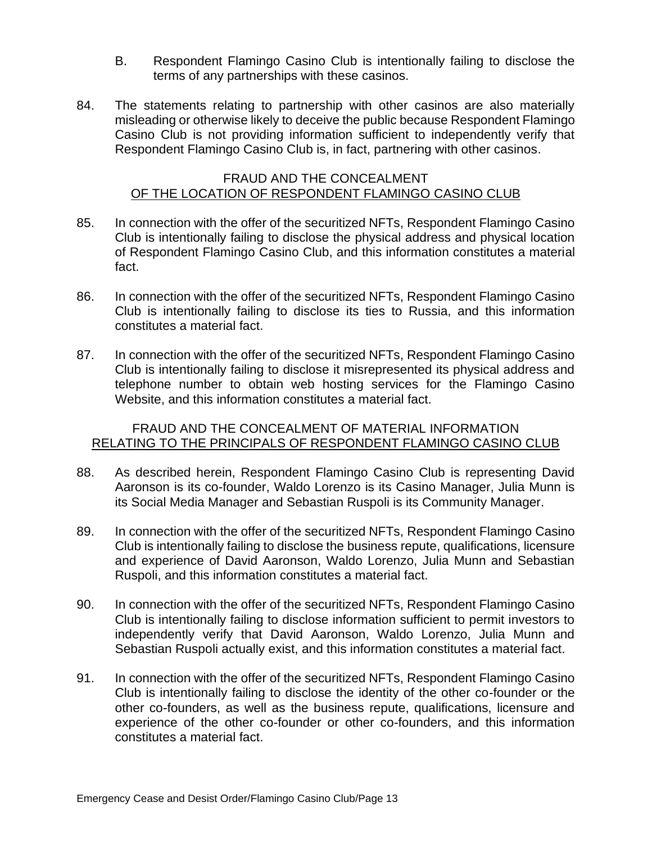- B. Respondent Flamingo Casino Club is intentionally failing to disclose the terms of any partnerships with these casinos.
- 84. The statements relating to partnership with other casinos are also materially misleading or otherwise likely to deceive the public because Respondent Flamingo Casino Club is not providing information sufficient to independently verify that Respondent Flamingo Casino Club is, in fact, partnering with other casinos.

#### FRAUD AND THE CONCEALMENT OF THE LOCATION OF RESPONDENT FLAMINGO CASINO CLUB

- 85. In connection with the offer of the securitized NFTs, Respondent Flamingo Casino Club is intentionally failing to disclose the physical address and physical location of Respondent Flamingo Casino Club, and this information constitutes a material fact.
- 86. In connection with the offer of the securitized NFTs, Respondent Flamingo Casino Club is intentionally failing to disclose its ties to Russia, and this information constitutes a material fact.
- 87. In connection with the offer of the securitized NFTs, Respondent Flamingo Casino Club is intentionally failing to disclose it misrepresented its physical address and telephone number to obtain web hosting services for the Flamingo Casino Website, and this information constitutes a material fact.

#### FRAUD AND THE CONCEALMENT OF MATERIAL INFORMATION RELATING TO THE PRINCIPALS OF RESPONDENT FLAMINGO CASINO CLUB

- 88. As described herein, Respondent Flamingo Casino Club is representing David Aaronson is its co-founder, Waldo Lorenzo is its Casino Manager, Julia Munn is its Social Media Manager and Sebastian Ruspoli is its Community Manager.
- 89. In connection with the offer of the securitized NFTs, Respondent Flamingo Casino Club is intentionally failing to disclose the business repute, qualifications, licensure and experience of David Aaronson, Waldo Lorenzo, Julia Munn and Sebastian Ruspoli, and this information constitutes a material fact.
- 90. In connection with the offer of the securitized NFTs, Respondent Flamingo Casino Club is intentionally failing to disclose information sufficient to permit investors to independently verify that David Aaronson, Waldo Lorenzo, Julia Munn and Sebastian Ruspoli actually exist, and this information constitutes a material fact.
- 91. In connection with the offer of the securitized NFTs, Respondent Flamingo Casino Club is intentionally failing to disclose the identity of the other co-founder or the other co-founders, as well as the business repute, qualifications, licensure and experience of the other co-founder or other co-founders, and this information constitutes a material fact.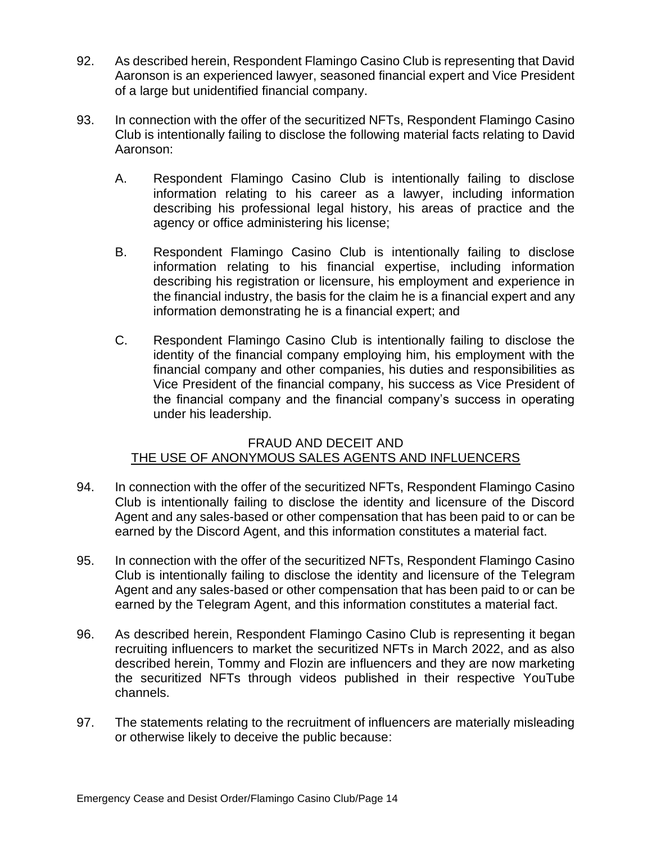- 92. As described herein, Respondent Flamingo Casino Club is representing that David Aaronson is an experienced lawyer, seasoned financial expert and Vice President of a large but unidentified financial company.
- 93. In connection with the offer of the securitized NFTs, Respondent Flamingo Casino Club is intentionally failing to disclose the following material facts relating to David Aaronson:
	- A. Respondent Flamingo Casino Club is intentionally failing to disclose information relating to his career as a lawyer, including information describing his professional legal history, his areas of practice and the agency or office administering his license;
	- B. Respondent Flamingo Casino Club is intentionally failing to disclose information relating to his financial expertise, including information describing his registration or licensure, his employment and experience in the financial industry, the basis for the claim he is a financial expert and any information demonstrating he is a financial expert; and
	- C. Respondent Flamingo Casino Club is intentionally failing to disclose the identity of the financial company employing him, his employment with the financial company and other companies, his duties and responsibilities as Vice President of the financial company, his success as Vice President of the financial company and the financial company's success in operating under his leadership.

#### FRAUD AND DECEIT AND THE USE OF ANONYMOUS SALES AGENTS AND INFLUENCERS

- 94. In connection with the offer of the securitized NFTs, Respondent Flamingo Casino Club is intentionally failing to disclose the identity and licensure of the Discord Agent and any sales-based or other compensation that has been paid to or can be earned by the Discord Agent, and this information constitutes a material fact.
- 95. In connection with the offer of the securitized NFTs, Respondent Flamingo Casino Club is intentionally failing to disclose the identity and licensure of the Telegram Agent and any sales-based or other compensation that has been paid to or can be earned by the Telegram Agent, and this information constitutes a material fact.
- 96. As described herein, Respondent Flamingo Casino Club is representing it began recruiting influencers to market the securitized NFTs in March 2022, and as also described herein, Tommy and Flozin are influencers and they are now marketing the securitized NFTs through videos published in their respective YouTube channels.
- 97. The statements relating to the recruitment of influencers are materially misleading or otherwise likely to deceive the public because: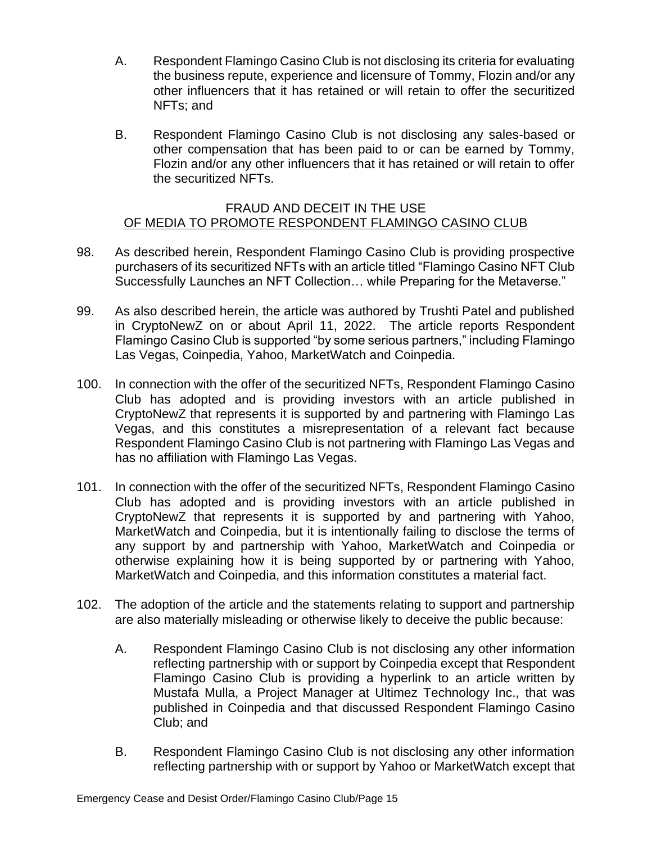- A. Respondent Flamingo Casino Club is not disclosing its criteria for evaluating the business repute, experience and licensure of Tommy, Flozin and/or any other influencers that it has retained or will retain to offer the securitized NFTs; and
- B. Respondent Flamingo Casino Club is not disclosing any sales-based or other compensation that has been paid to or can be earned by Tommy, Flozin and/or any other influencers that it has retained or will retain to offer the securitized NFTs.

#### FRAUD AND DECEIT IN THE USE OF MEDIA TO PROMOTE RESPONDENT FLAMINGO CASINO CLUB

- 98. As described herein, Respondent Flamingo Casino Club is providing prospective purchasers of its securitized NFTs with an article titled "Flamingo Casino NFT Club Successfully Launches an NFT Collection… while Preparing for the Metaverse."
- 99. As also described herein, the article was authored by Trushti Patel and published in CryptoNewZ on or about April 11, 2022. The article reports Respondent Flamingo Casino Club is supported "by some serious partners," including Flamingo Las Vegas, Coinpedia, Yahoo, MarketWatch and Coinpedia.
- 100. In connection with the offer of the securitized NFTs, Respondent Flamingo Casino Club has adopted and is providing investors with an article published in CryptoNewZ that represents it is supported by and partnering with Flamingo Las Vegas, and this constitutes a misrepresentation of a relevant fact because Respondent Flamingo Casino Club is not partnering with Flamingo Las Vegas and has no affiliation with Flamingo Las Vegas.
- 101. In connection with the offer of the securitized NFTs, Respondent Flamingo Casino Club has adopted and is providing investors with an article published in CryptoNewZ that represents it is supported by and partnering with Yahoo, MarketWatch and Coinpedia, but it is intentionally failing to disclose the terms of any support by and partnership with Yahoo, MarketWatch and Coinpedia or otherwise explaining how it is being supported by or partnering with Yahoo, MarketWatch and Coinpedia, and this information constitutes a material fact.
- 102. The adoption of the article and the statements relating to support and partnership are also materially misleading or otherwise likely to deceive the public because:
	- A. Respondent Flamingo Casino Club is not disclosing any other information reflecting partnership with or support by Coinpedia except that Respondent Flamingo Casino Club is providing a hyperlink to an article written by Mustafa Mulla, a Project Manager at Ultimez Technology Inc., that was published in Coinpedia and that discussed Respondent Flamingo Casino Club; and
	- B. Respondent Flamingo Casino Club is not disclosing any other information reflecting partnership with or support by Yahoo or MarketWatch except that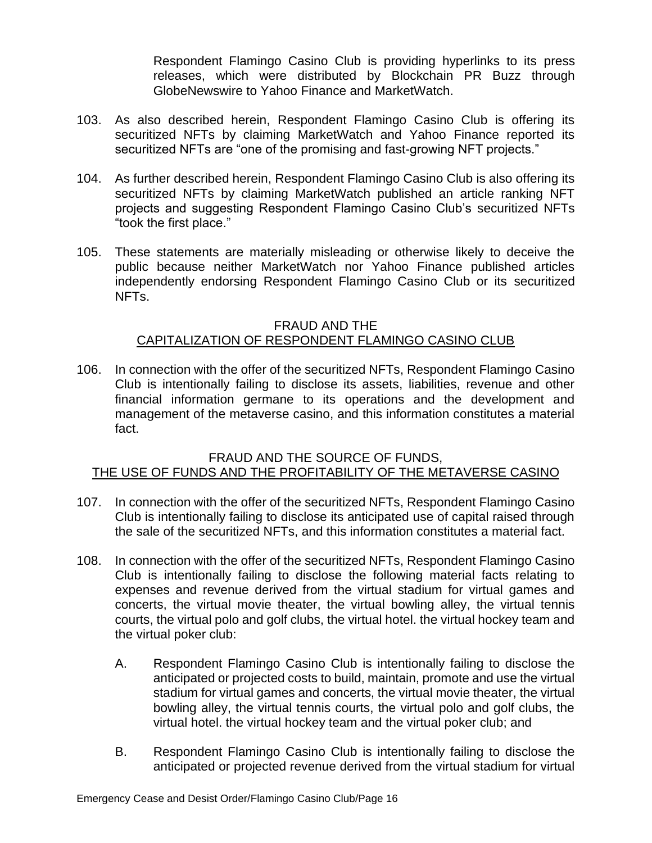Respondent Flamingo Casino Club is providing hyperlinks to its press releases, which were distributed by Blockchain PR Buzz through GlobeNewswire to Yahoo Finance and MarketWatch.

- 103. As also described herein, Respondent Flamingo Casino Club is offering its securitized NFTs by claiming MarketWatch and Yahoo Finance reported its securitized NFTs are "one of the promising and fast-growing NFT projects."
- 104. As further described herein, Respondent Flamingo Casino Club is also offering its securitized NFTs by claiming MarketWatch published an article ranking NFT projects and suggesting Respondent Flamingo Casino Club's securitized NFTs "took the first place."
- 105. These statements are materially misleading or otherwise likely to deceive the public because neither MarketWatch nor Yahoo Finance published articles independently endorsing Respondent Flamingo Casino Club or its securitized NFTs.

## FRAUD AND THE CAPITALIZATION OF RESPONDENT FLAMINGO CASINO CLUB

106. In connection with the offer of the securitized NFTs, Respondent Flamingo Casino Club is intentionally failing to disclose its assets, liabilities, revenue and other financial information germane to its operations and the development and management of the metaverse casino, and this information constitutes a material fact.

#### FRAUD AND THE SOURCE OF FUNDS, THE USE OF FUNDS AND THE PROFITABILITY OF THE METAVERSE CASINO

- 107. In connection with the offer of the securitized NFTs, Respondent Flamingo Casino Club is intentionally failing to disclose its anticipated use of capital raised through the sale of the securitized NFTs, and this information constitutes a material fact.
- 108. In connection with the offer of the securitized NFTs, Respondent Flamingo Casino Club is intentionally failing to disclose the following material facts relating to expenses and revenue derived from the virtual stadium for virtual games and concerts, the virtual movie theater, the virtual bowling alley, the virtual tennis courts, the virtual polo and golf clubs, the virtual hotel. the virtual hockey team and the virtual poker club:
	- A. Respondent Flamingo Casino Club is intentionally failing to disclose the anticipated or projected costs to build, maintain, promote and use the virtual stadium for virtual games and concerts, the virtual movie theater, the virtual bowling alley, the virtual tennis courts, the virtual polo and golf clubs, the virtual hotel. the virtual hockey team and the virtual poker club; and
	- B. Respondent Flamingo Casino Club is intentionally failing to disclose the anticipated or projected revenue derived from the virtual stadium for virtual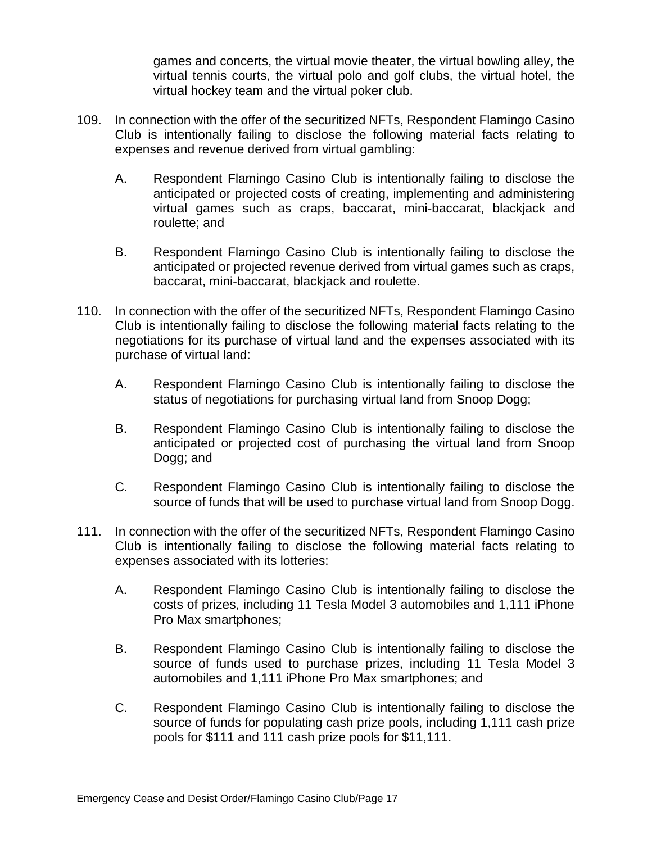games and concerts, the virtual movie theater, the virtual bowling alley, the virtual tennis courts, the virtual polo and golf clubs, the virtual hotel, the virtual hockey team and the virtual poker club.

- 109. In connection with the offer of the securitized NFTs, Respondent Flamingo Casino Club is intentionally failing to disclose the following material facts relating to expenses and revenue derived from virtual gambling:
	- A. Respondent Flamingo Casino Club is intentionally failing to disclose the anticipated or projected costs of creating, implementing and administering virtual games such as craps, baccarat, mini-baccarat, blackjack and roulette; and
	- B. Respondent Flamingo Casino Club is intentionally failing to disclose the anticipated or projected revenue derived from virtual games such as craps, baccarat, mini-baccarat, blackjack and roulette.
- 110. In connection with the offer of the securitized NFTs, Respondent Flamingo Casino Club is intentionally failing to disclose the following material facts relating to the negotiations for its purchase of virtual land and the expenses associated with its purchase of virtual land:
	- A. Respondent Flamingo Casino Club is intentionally failing to disclose the status of negotiations for purchasing virtual land from Snoop Dogg;
	- B. Respondent Flamingo Casino Club is intentionally failing to disclose the anticipated or projected cost of purchasing the virtual land from Snoop Dogg; and
	- C. Respondent Flamingo Casino Club is intentionally failing to disclose the source of funds that will be used to purchase virtual land from Snoop Dogg.
- 111. In connection with the offer of the securitized NFTs, Respondent Flamingo Casino Club is intentionally failing to disclose the following material facts relating to expenses associated with its lotteries:
	- A. Respondent Flamingo Casino Club is intentionally failing to disclose the costs of prizes, including 11 Tesla Model 3 automobiles and 1,111 iPhone Pro Max smartphones;
	- B. Respondent Flamingo Casino Club is intentionally failing to disclose the source of funds used to purchase prizes, including 11 Tesla Model 3 automobiles and 1,111 iPhone Pro Max smartphones; and
	- C. Respondent Flamingo Casino Club is intentionally failing to disclose the source of funds for populating cash prize pools, including 1,111 cash prize pools for \$111 and 111 cash prize pools for \$11,111.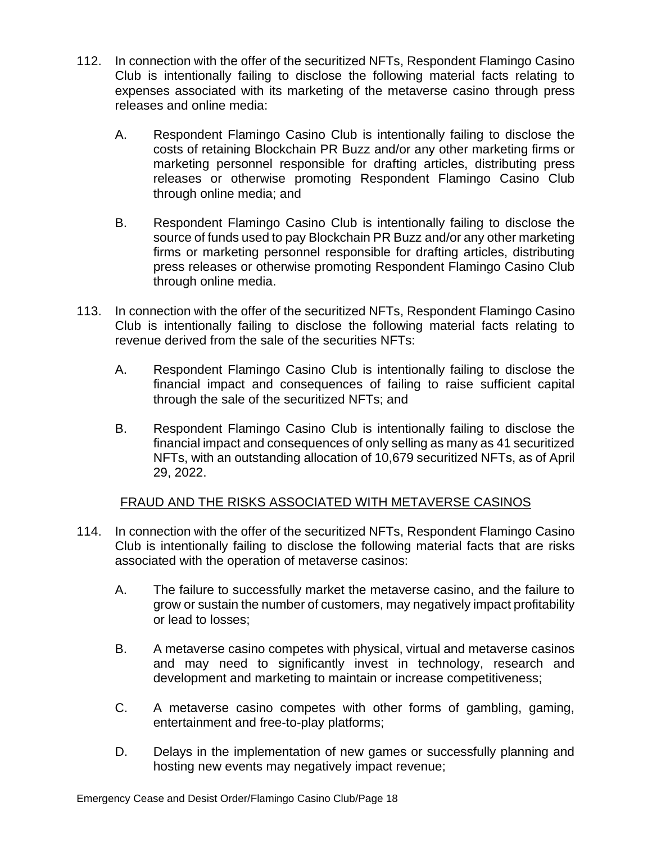- 112. In connection with the offer of the securitized NFTs, Respondent Flamingo Casino Club is intentionally failing to disclose the following material facts relating to expenses associated with its marketing of the metaverse casino through press releases and online media:
	- A. Respondent Flamingo Casino Club is intentionally failing to disclose the costs of retaining Blockchain PR Buzz and/or any other marketing firms or marketing personnel responsible for drafting articles, distributing press releases or otherwise promoting Respondent Flamingo Casino Club through online media; and
	- B. Respondent Flamingo Casino Club is intentionally failing to disclose the source of funds used to pay Blockchain PR Buzz and/or any other marketing firms or marketing personnel responsible for drafting articles, distributing press releases or otherwise promoting Respondent Flamingo Casino Club through online media.
- 113. In connection with the offer of the securitized NFTs, Respondent Flamingo Casino Club is intentionally failing to disclose the following material facts relating to revenue derived from the sale of the securities NFTs:
	- A. Respondent Flamingo Casino Club is intentionally failing to disclose the financial impact and consequences of failing to raise sufficient capital through the sale of the securitized NFTs; and
	- B. Respondent Flamingo Casino Club is intentionally failing to disclose the financial impact and consequences of only selling as many as 41 securitized NFTs, with an outstanding allocation of 10,679 securitized NFTs, as of April 29, 2022.

## FRAUD AND THE RISKS ASSOCIATED WITH METAVERSE CASINOS

- 114. In connection with the offer of the securitized NFTs, Respondent Flamingo Casino Club is intentionally failing to disclose the following material facts that are risks associated with the operation of metaverse casinos:
	- A. The failure to successfully market the metaverse casino, and the failure to grow or sustain the number of customers, may negatively impact profitability or lead to losses;
	- B. A metaverse casino competes with physical, virtual and metaverse casinos and may need to significantly invest in technology, research and development and marketing to maintain or increase competitiveness;
	- C. A metaverse casino competes with other forms of gambling, gaming, entertainment and free-to-play platforms;
	- D. Delays in the implementation of new games or successfully planning and hosting new events may negatively impact revenue;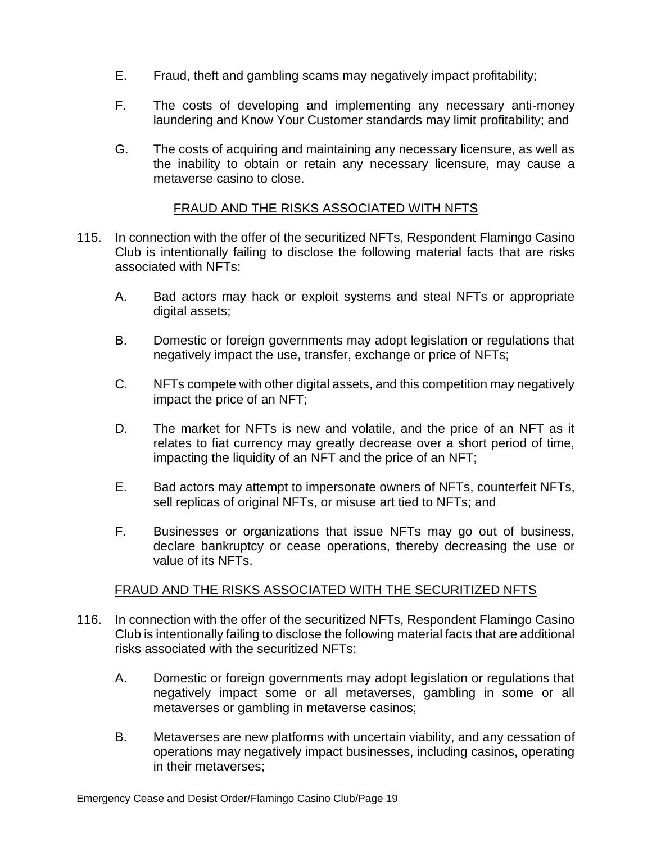- E. Fraud, theft and gambling scams may negatively impact profitability;
- F. The costs of developing and implementing any necessary anti-money laundering and Know Your Customer standards may limit profitability; and
- G. The costs of acquiring and maintaining any necessary licensure, as well as the inability to obtain or retain any necessary licensure, may cause a metaverse casino to close.

#### FRAUD AND THE RISKS ASSOCIATED WITH NFTS

- 115. In connection with the offer of the securitized NFTs, Respondent Flamingo Casino Club is intentionally failing to disclose the following material facts that are risks associated with NFTs:
	- A. Bad actors may hack or exploit systems and steal NFTs or appropriate digital assets;
	- B. Domestic or foreign governments may adopt legislation or regulations that negatively impact the use, transfer, exchange or price of NFTs;
	- C. NFTs compete with other digital assets, and this competition may negatively impact the price of an NFT;
	- D. The market for NFTs is new and volatile, and the price of an NFT as it relates to fiat currency may greatly decrease over a short period of time, impacting the liquidity of an NFT and the price of an NFT;
	- E. Bad actors may attempt to impersonate owners of NFTs, counterfeit NFTs, sell replicas of original NFTs, or misuse art tied to NFTs; and
	- F. Businesses or organizations that issue NFTs may go out of business, declare bankruptcy or cease operations, thereby decreasing the use or value of its NFTs.

#### FRAUD AND THE RISKS ASSOCIATED WITH THE SECURITIZED NFTS

- 116. In connection with the offer of the securitized NFTs, Respondent Flamingo Casino Club is intentionally failing to disclose the following material facts that are additional risks associated with the securitized NFTs:
	- A. Domestic or foreign governments may adopt legislation or regulations that negatively impact some or all metaverses, gambling in some or all metaverses or gambling in metaverse casinos;
	- B. Metaverses are new platforms with uncertain viability, and any cessation of operations may negatively impact businesses, including casinos, operating in their metaverses;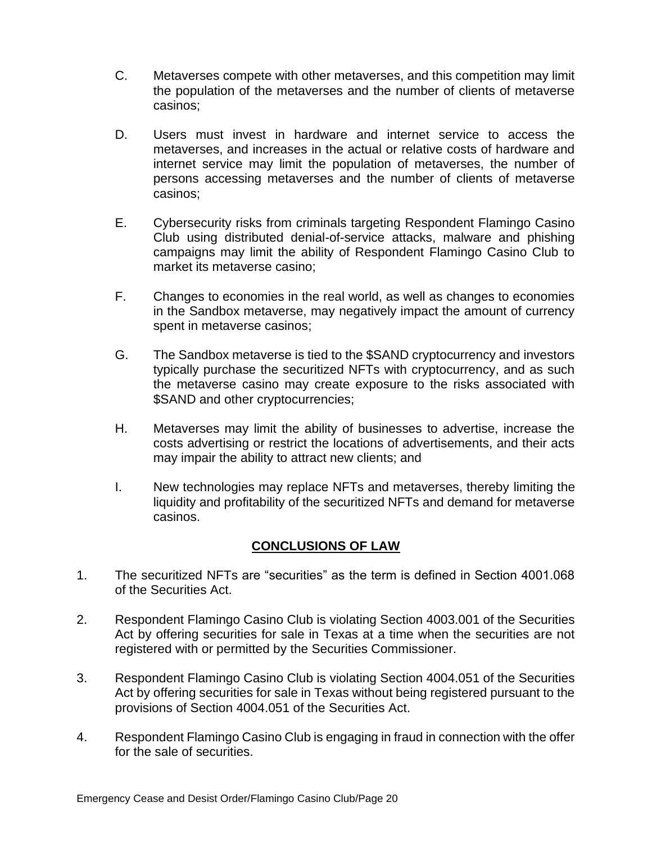- C. Metaverses compete with other metaverses, and this competition may limit the population of the metaverses and the number of clients of metaverse casinos;
- D. Users must invest in hardware and internet service to access the metaverses, and increases in the actual or relative costs of hardware and internet service may limit the population of metaverses, the number of persons accessing metaverses and the number of clients of metaverse casinos;
- E. Cybersecurity risks from criminals targeting Respondent Flamingo Casino Club using distributed denial-of-service attacks, malware and phishing campaigns may limit the ability of Respondent Flamingo Casino Club to market its metaverse casino;
- F. Changes to economies in the real world, as well as changes to economies in the Sandbox metaverse, may negatively impact the amount of currency spent in metaverse casinos;
- G. The Sandbox metaverse is tied to the \$SAND cryptocurrency and investors typically purchase the securitized NFTs with cryptocurrency, and as such the metaverse casino may create exposure to the risks associated with \$SAND and other cryptocurrencies;
- H. Metaverses may limit the ability of businesses to advertise, increase the costs advertising or restrict the locations of advertisements, and their acts may impair the ability to attract new clients; and
- I. New technologies may replace NFTs and metaverses, thereby limiting the liquidity and profitability of the securitized NFTs and demand for metaverse casinos.

## **CONCLUSIONS OF LAW**

- 1. The securitized NFTs are "securities" as the term is defined in Section 4001.068 of the Securities Act.
- 2. Respondent Flamingo Casino Club is violating Section 4003.001 of the Securities Act by offering securities for sale in Texas at a time when the securities are not registered with or permitted by the Securities Commissioner.
- 3. Respondent Flamingo Casino Club is violating Section 4004.051 of the Securities Act by offering securities for sale in Texas without being registered pursuant to the provisions of Section 4004.051 of the Securities Act.
- 4. Respondent Flamingo Casino Club is engaging in fraud in connection with the offer for the sale of securities.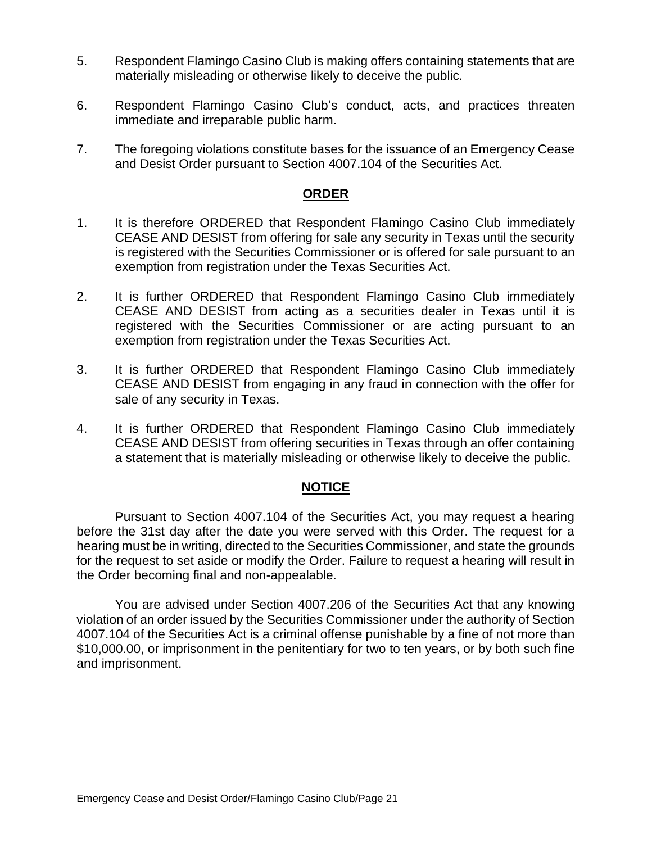- 5. Respondent Flamingo Casino Club is making offers containing statements that are materially misleading or otherwise likely to deceive the public.
- 6. Respondent Flamingo Casino Club's conduct, acts, and practices threaten immediate and irreparable public harm.
- 7. The foregoing violations constitute bases for the issuance of an Emergency Cease and Desist Order pursuant to Section 4007.104 of the Securities Act.

#### **ORDER**

- 1. It is therefore ORDERED that Respondent Flamingo Casino Club immediately CEASE AND DESIST from offering for sale any security in Texas until the security is registered with the Securities Commissioner or is offered for sale pursuant to an exemption from registration under the Texas Securities Act.
- 2. It is further ORDERED that Respondent Flamingo Casino Club immediately CEASE AND DESIST from acting as a securities dealer in Texas until it is registered with the Securities Commissioner or are acting pursuant to an exemption from registration under the Texas Securities Act.
- 3. It is further ORDERED that Respondent Flamingo Casino Club immediately CEASE AND DESIST from engaging in any fraud in connection with the offer for sale of any security in Texas.
- 4. It is further ORDERED that Respondent Flamingo Casino Club immediately CEASE AND DESIST from offering securities in Texas through an offer containing a statement that is materially misleading or otherwise likely to deceive the public.

#### **NOTICE**

Pursuant to Section 4007.104 of the Securities Act, you may request a hearing before the 31st day after the date you were served with this Order. The request for a hearing must be in writing, directed to the Securities Commissioner, and state the grounds for the request to set aside or modify the Order. Failure to request a hearing will result in the Order becoming final and non-appealable.

You are advised under Section 4007.206 of the Securities Act that any knowing violation of an order issued by the Securities Commissioner under the authority of Section 4007.104 of the Securities Act is a criminal offense punishable by a fine of not more than \$10,000.00, or imprisonment in the penitentiary for two to ten years, or by both such fine and imprisonment.